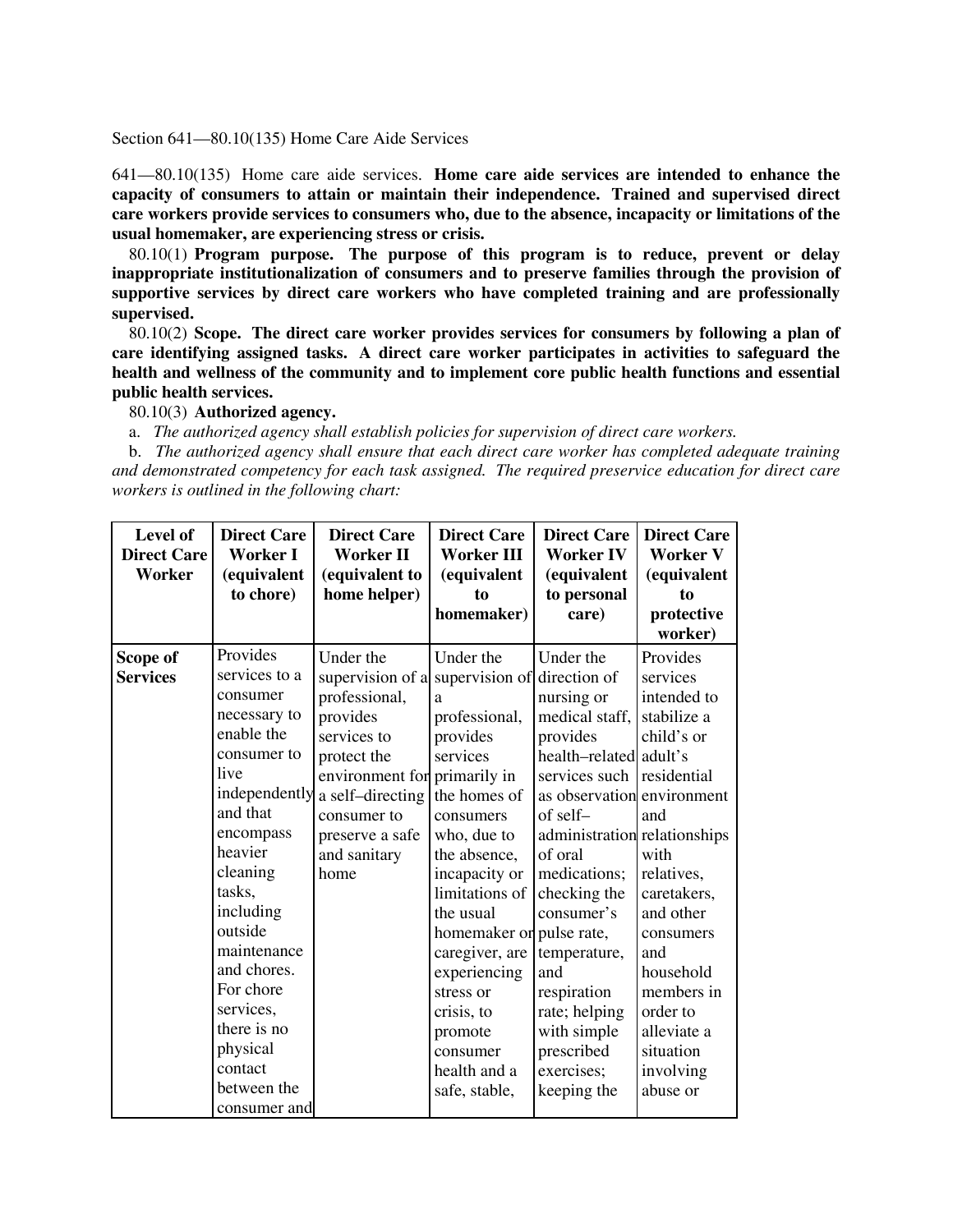## Section 641—80.10(135) Home Care Aide Services

641—80.10(135) Home care aide services. **Home care aide services are intended to enhance the capacity of consumers to attain or maintain their independence. Trained and supervised direct care workers provide services to consumers who, due to the absence, incapacity or limitations of the usual homemaker, are experiencing stress or crisis.**

80.10(1) **Program purpose. The purpose of this program is to reduce, prevent or delay inappropriate institutionalization of consumers and to preserve families through the provision of supportive services by direct care workers who have completed training and are professionally supervised.**

80.10(2) **Scope. The direct care worker provides services for consumers by following a plan of care identifying assigned tasks. A direct care worker participates in activities to safeguard the health and wellness of the community and to implement core public health functions and essential public health services.**

80.10(3) **Authorized agency.**

a. *The authorized agency shall establish policies for supervision of direct care workers.*

b. *The authorized agency shall ensure that each direct care worker has completed adequate training and demonstrated competency for each task assigned. The required preservice education for direct care workers is outlined in the following chart:*

| Level of<br><b>Direct Care</b><br>Worker | <b>Direct Care</b><br>Worker I<br>(equivalent<br>to chore) | <b>Direct Care</b><br><b>Worker II</b><br>(equivalent to<br>home helper) | <b>Direct Care</b><br><b>Worker III</b><br>(equivalent<br>to<br>homemaker) | <b>Direct Care</b><br><b>Worker IV</b><br>(equivalent<br>to personal<br>care) | <b>Direct Care</b><br><b>Worker V</b><br>(equivalent<br>to<br>protective<br>worker) |
|------------------------------------------|------------------------------------------------------------|--------------------------------------------------------------------------|----------------------------------------------------------------------------|-------------------------------------------------------------------------------|-------------------------------------------------------------------------------------|
| Scope of                                 | Provides                                                   | Under the                                                                | Under the                                                                  | Under the                                                                     | Provides                                                                            |
| <b>Services</b>                          | services to a                                              | supervision of a                                                         | supervision of                                                             | direction of                                                                  | services                                                                            |
|                                          | consumer                                                   | professional,                                                            | a                                                                          | nursing or                                                                    | intended to                                                                         |
|                                          | necessary to                                               | provides                                                                 | professional,                                                              | medical staff,                                                                | stabilize a                                                                         |
|                                          | enable the                                                 | services to                                                              | provides                                                                   | provides                                                                      | child's or                                                                          |
|                                          | consumer to                                                | protect the                                                              | services                                                                   | health-related adult's                                                        |                                                                                     |
|                                          | live                                                       | environment for                                                          | primarily in                                                               | services such                                                                 | residential                                                                         |
|                                          | independently                                              | a self-directing                                                         | the homes of                                                               | as observation environment                                                    |                                                                                     |
|                                          | and that                                                   | consumer to                                                              | consumers                                                                  | of self-                                                                      | and                                                                                 |
|                                          | encompass                                                  | preserve a safe                                                          | who, due to                                                                | administration relationships                                                  |                                                                                     |
|                                          | heavier                                                    | and sanitary                                                             | the absence,                                                               | of oral                                                                       | with                                                                                |
|                                          | cleaning                                                   | home                                                                     | incapacity or                                                              | medications;                                                                  | relatives,                                                                          |
|                                          | tasks,                                                     |                                                                          | limitations of                                                             | checking the                                                                  | caretakers,                                                                         |
|                                          | including                                                  |                                                                          | the usual                                                                  | consumer's                                                                    | and other                                                                           |
|                                          | outside                                                    |                                                                          | homemaker or pulse rate,                                                   |                                                                               | consumers                                                                           |
|                                          | maintenance                                                |                                                                          | caregiver, are                                                             | temperature,                                                                  | and                                                                                 |
|                                          | and chores.                                                |                                                                          | experiencing                                                               | and                                                                           | household                                                                           |
|                                          | For chore                                                  |                                                                          | stress or                                                                  | respiration                                                                   | members in                                                                          |
|                                          | services,                                                  |                                                                          | crisis, to                                                                 | rate; helping                                                                 | order to                                                                            |
|                                          | there is no                                                |                                                                          | promote                                                                    | with simple                                                                   | alleviate a                                                                         |
|                                          | physical                                                   |                                                                          | consumer                                                                   | prescribed                                                                    | situation                                                                           |
|                                          | contact                                                    |                                                                          | health and a                                                               | exercises;                                                                    | involving                                                                           |
|                                          | between the                                                |                                                                          | safe, stable,                                                              | keeping the                                                                   | abuse or                                                                            |
|                                          | consumer and                                               |                                                                          |                                                                            |                                                                               |                                                                                     |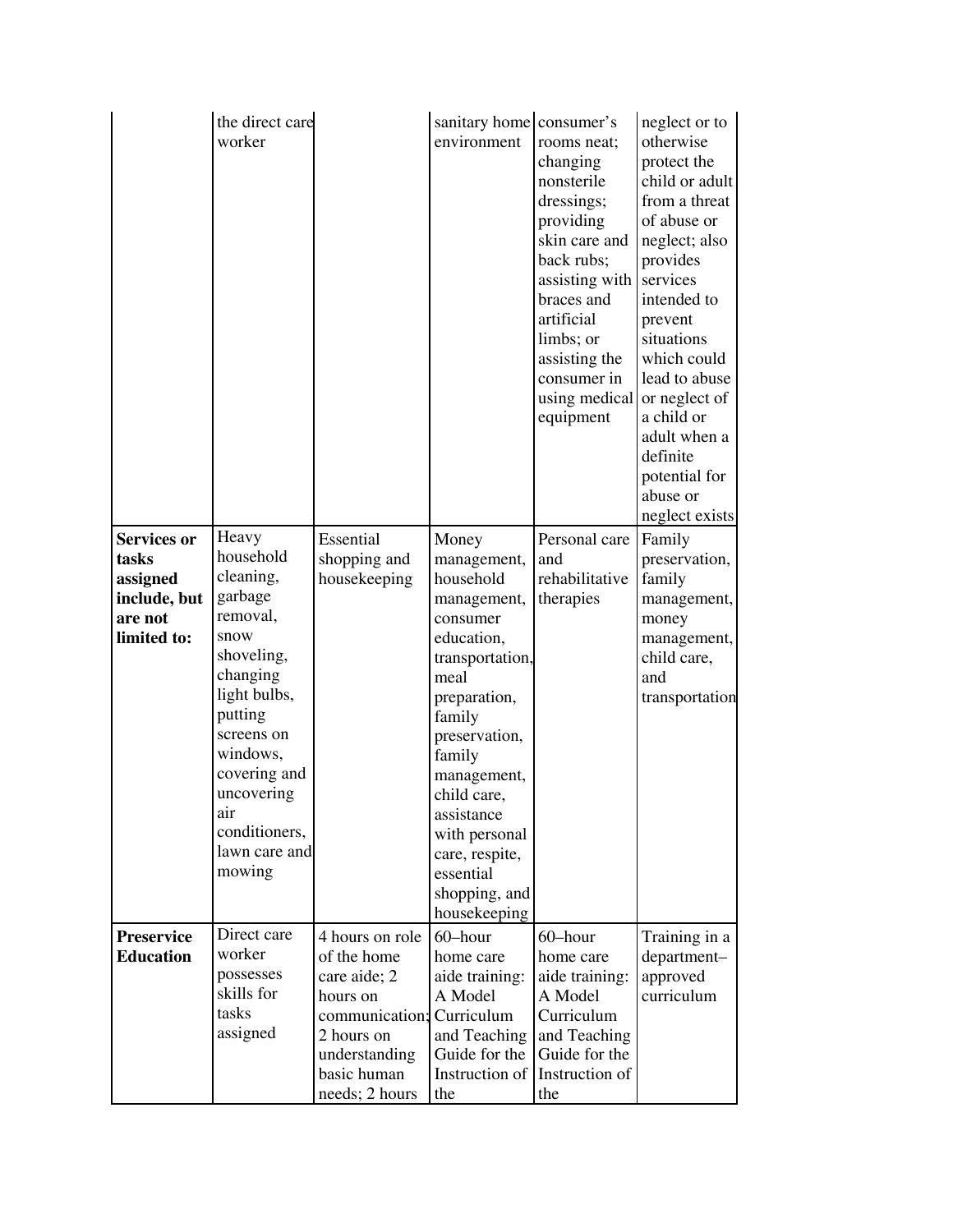|                             | the direct care<br>worker  |                           | sanitary home consumer's<br>environment | rooms neat;<br>changing<br>nonsterile<br>dressings;<br>providing<br>skin care and<br>back rubs;<br>assisting with<br>braces and<br>artificial<br>limbs; or<br>assisting the<br>consumer in<br>using medical<br>equipment | neglect or to<br>otherwise<br>protect the<br>child or adult<br>from a threat<br>of abuse or<br>neglect; also<br>provides<br>services<br>intended to<br>prevent<br>situations<br>which could<br>lead to abuse<br>or neglect of<br>a child or<br>adult when a<br>definite<br>potential for<br>abuse or<br>neglect exists |
|-----------------------------|----------------------------|---------------------------|-----------------------------------------|--------------------------------------------------------------------------------------------------------------------------------------------------------------------------------------------------------------------------|------------------------------------------------------------------------------------------------------------------------------------------------------------------------------------------------------------------------------------------------------------------------------------------------------------------------|
| <b>Services or</b><br>tasks | Heavy<br>household         | Essential<br>shopping and | Money<br>management,                    | Personal care<br>and                                                                                                                                                                                                     | Family<br>preservation,                                                                                                                                                                                                                                                                                                |
| assigned                    | cleaning,                  | housekeeping              | household                               | rehabilitative                                                                                                                                                                                                           | family                                                                                                                                                                                                                                                                                                                 |
| include, but                | garbage                    |                           | management,                             | therapies                                                                                                                                                                                                                | management,                                                                                                                                                                                                                                                                                                            |
| are not                     | removal,                   |                           | consumer                                |                                                                                                                                                                                                                          | money                                                                                                                                                                                                                                                                                                                  |
| limited to:                 | snow                       |                           | education,                              |                                                                                                                                                                                                                          | management,                                                                                                                                                                                                                                                                                                            |
|                             | shoveling,                 |                           | transportation,                         |                                                                                                                                                                                                                          | child care,                                                                                                                                                                                                                                                                                                            |
|                             | changing                   |                           | meal                                    |                                                                                                                                                                                                                          | and                                                                                                                                                                                                                                                                                                                    |
|                             | light bulbs,               |                           | preparation,                            |                                                                                                                                                                                                                          | transportation                                                                                                                                                                                                                                                                                                         |
|                             | putting                    |                           | family                                  |                                                                                                                                                                                                                          |                                                                                                                                                                                                                                                                                                                        |
|                             | screens on                 |                           | preservation,                           |                                                                                                                                                                                                                          |                                                                                                                                                                                                                                                                                                                        |
|                             | windows,                   |                           | family                                  |                                                                                                                                                                                                                          |                                                                                                                                                                                                                                                                                                                        |
|                             | covering and<br>uncovering |                           | management,                             |                                                                                                                                                                                                                          |                                                                                                                                                                                                                                                                                                                        |
|                             | air                        |                           | child care,<br>assistance               |                                                                                                                                                                                                                          |                                                                                                                                                                                                                                                                                                                        |
|                             | conditioners,              |                           | with personal                           |                                                                                                                                                                                                                          |                                                                                                                                                                                                                                                                                                                        |
|                             | lawn care and              |                           | care, respite,                          |                                                                                                                                                                                                                          |                                                                                                                                                                                                                                                                                                                        |
|                             | mowing                     |                           | essential                               |                                                                                                                                                                                                                          |                                                                                                                                                                                                                                                                                                                        |
|                             |                            |                           | shopping, and                           |                                                                                                                                                                                                                          |                                                                                                                                                                                                                                                                                                                        |
|                             |                            |                           | housekeeping                            |                                                                                                                                                                                                                          |                                                                                                                                                                                                                                                                                                                        |
| Preservice                  | Direct care                | 4 hours on role           | 60-hour                                 | 60-hour                                                                                                                                                                                                                  | Training in a                                                                                                                                                                                                                                                                                                          |
| <b>Education</b>            | worker                     | of the home               | home care                               | home care                                                                                                                                                                                                                | department-                                                                                                                                                                                                                                                                                                            |
|                             | possesses                  | care aide; 2              | aide training:                          | aide training:                                                                                                                                                                                                           | approved                                                                                                                                                                                                                                                                                                               |
|                             | skills for                 | hours on                  | A Model                                 | A Model                                                                                                                                                                                                                  | curriculum                                                                                                                                                                                                                                                                                                             |
|                             | tasks                      | communication;            | Curriculum                              | Curriculum                                                                                                                                                                                                               |                                                                                                                                                                                                                                                                                                                        |
|                             | assigned                   | 2 hours on                | and Teaching                            | and Teaching                                                                                                                                                                                                             |                                                                                                                                                                                                                                                                                                                        |
|                             |                            | understanding             | Guide for the                           | Guide for the                                                                                                                                                                                                            |                                                                                                                                                                                                                                                                                                                        |
|                             |                            | basic human               | Instruction of                          | Instruction of                                                                                                                                                                                                           |                                                                                                                                                                                                                                                                                                                        |
|                             |                            | needs; 2 hours            | the                                     | the                                                                                                                                                                                                                      |                                                                                                                                                                                                                                                                                                                        |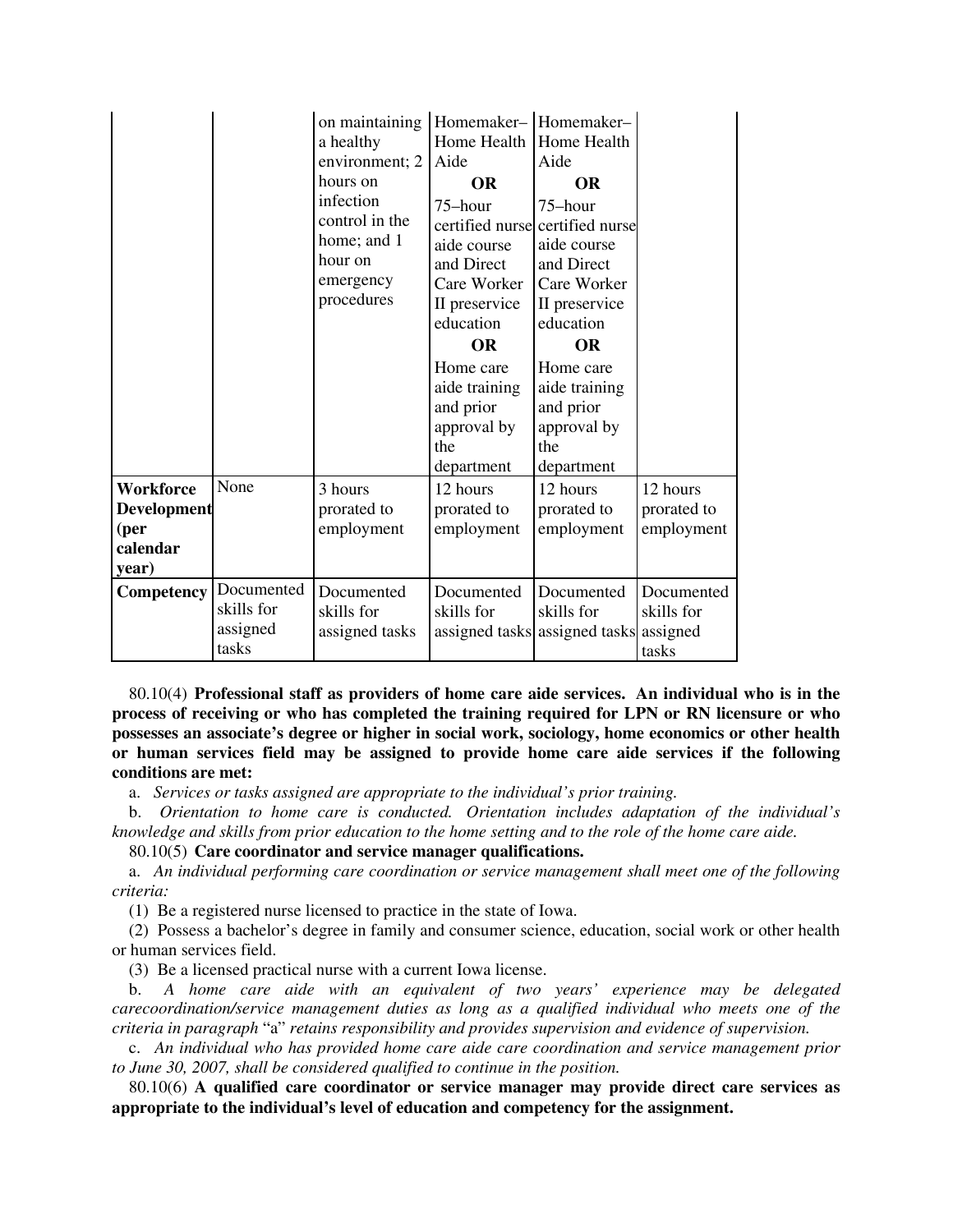|                                                              |                                               | on maintaining<br>a healthy<br>environment; 2<br>hours on<br>infection<br>control in the<br>home; and 1<br>hour on<br>emergency<br>procedures | Homemaker-<br> Homemaker-<br>Home Health<br>Aide<br><b>OR</b><br>75-hour<br>aide course<br>and Direct<br>Care Worker<br>II preservice<br>education<br><b>OR</b><br>Home care<br>aide training<br>and prior<br>approval by<br>the<br>department | Home Health<br>Aide<br><b>OR</b><br>75-hour<br>certified nurse certified nurse<br>aide course<br>and Direct<br>Care Worker<br>II preservice<br>education<br><b>OR</b><br>Home care<br>aide training<br>and prior<br>approval by<br>the<br>department |                                               |
|--------------------------------------------------------------|-----------------------------------------------|-----------------------------------------------------------------------------------------------------------------------------------------------|------------------------------------------------------------------------------------------------------------------------------------------------------------------------------------------------------------------------------------------------|------------------------------------------------------------------------------------------------------------------------------------------------------------------------------------------------------------------------------------------------------|-----------------------------------------------|
| <b>Workforce</b><br>Development<br>(per<br>calendar<br>year) | None                                          | 3 hours<br>prorated to<br>employment                                                                                                          | 12 hours<br>prorated to<br>employment                                                                                                                                                                                                          | 12 hours<br>prorated to<br>employment                                                                                                                                                                                                                | 12 hours<br>prorated to<br>employment         |
| Competency                                                   | Documented<br>skills for<br>assigned<br>tasks | Documented<br>skills for<br>assigned tasks                                                                                                    | Documented<br>skills for<br>assigned tasks                                                                                                                                                                                                     | Documented<br>skills for<br>assigned tasks                                                                                                                                                                                                           | Documented<br>skills for<br>assigned<br>tasks |

80.10(4) **Professional staff as providers of home care aide services. An individual who is in the process of receiving or who has completed the training required for LPN or RN licensure or who possesses an associate's degree or higher in social work, sociology, home economics or other health or human services field may be assigned to provide home care aide services if the following conditions are met:**

a. *Services or tasks assigned are appropriate to the individual's prior training.*

b. *Orientation to home care is conducted. Orientation includes adaptation of the individual's knowledge and skills from prior education to the home setting and to the role of the home care aide.*

80.10(5) **Care coordinator and service manager qualifications.**

a. *An individual performing care coordination or service management shall meet one of the following criteria:*

(1) Be a registered nurse licensed to practice in the state of Iowa.

(2) Possess a bachelor's degree in family and consumer science, education, social work or other health or human services field.

(3) Be a licensed practical nurse with a current Iowa license.

b. *A home care aide with an equivalent of two years' experience may be delegated carecoordination/service management duties as long as a qualified individual who meets one of the criteria in paragraph* "a" *retains responsibility and provides supervision and evidence of supervision.*

c. *An individual who has provided home care aide care coordination and service management prior to June 30, 2007, shall be considered qualified to continue in the position.*

80.10(6) **A qualified care coordinator or service manager may provide direct care services as appropriate to the individual's level of education and competency for the assignment.**